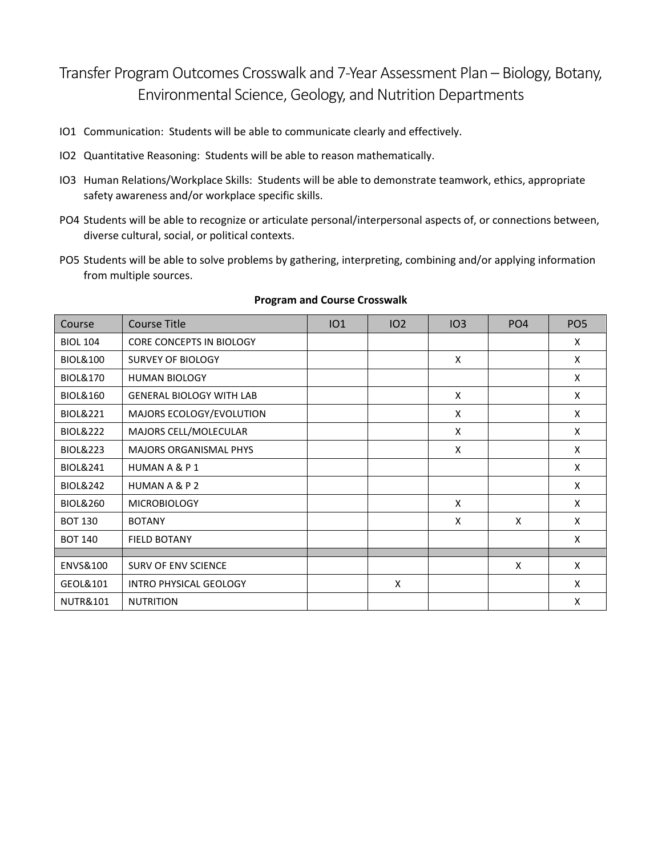## Transfer Program Outcomes Crosswalk and 7-Year Assessment Plan – Biology, Botany, Environmental Science, Geology, and Nutrition Departments

- IO1 Communication: Students will be able to communicate clearly and effectively.
- IO2 Quantitative Reasoning: Students will be able to reason mathematically.
- IO3 Human Relations/Workplace Skills: Students will be able to demonstrate teamwork, ethics, appropriate safety awareness and/or workplace specific skills.
- PO4 Students will be able to recognize or articulate personal/interpersonal aspects of, or connections between, diverse cultural, social, or political contexts.
- PO5 Students will be able to solve problems by gathering, interpreting, combining and/or applying information from multiple sources.

| Course              | <b>Course Title</b>             | IO1 | 102 | IO3          | PO <sub>4</sub> | PO <sub>5</sub> |
|---------------------|---------------------------------|-----|-----|--------------|-----------------|-----------------|
| <b>BIOL 104</b>     | <b>CORE CONCEPTS IN BIOLOGY</b> |     |     |              |                 | X               |
| <b>BIOL&amp;100</b> | <b>SURVEY OF BIOLOGY</b>        |     |     | X            |                 | X               |
| <b>BIOL&amp;170</b> | <b>HUMAN BIOLOGY</b>            |     |     |              |                 | X               |
| <b>BIOL&amp;160</b> | <b>GENERAL BIOLOGY WITH LAB</b> |     |     | X            |                 | X               |
| <b>BIOL&amp;221</b> | MAJORS ECOLOGY/EVOLUTION        |     |     | $\mathsf{x}$ |                 | X               |
| <b>BIOL&amp;222</b> | MAJORS CELL/MOLECULAR           |     |     | X            |                 | X               |
| <b>BIOL&amp;223</b> | <b>MAJORS ORGANISMAL PHYS</b>   |     |     | X            |                 | X               |
| <b>BIOL&amp;241</b> | HUMAN A & P 1                   |     |     |              |                 | X               |
| <b>BIOL&amp;242</b> | HUMAN A & P 2                   |     |     |              |                 | X               |
| <b>BIOL&amp;260</b> | <b>MICROBIOLOGY</b>             |     |     | $\mathsf{x}$ |                 | X               |
| <b>BOT 130</b>      | <b>BOTANY</b>                   |     |     | X            | X               | X               |
| <b>BOT 140</b>      | <b>FIELD BOTANY</b>             |     |     |              |                 | X               |
|                     |                                 |     |     |              |                 |                 |
| ENVS&100            | <b>SURV OF ENV SCIENCE</b>      |     |     |              | X               | X               |
| GEOL&101            | <b>INTRO PHYSICAL GEOLOGY</b>   |     | X   |              |                 | X               |
| <b>NUTR&amp;101</b> | <b>NUTRITION</b>                |     |     |              |                 | X               |

## **Program and Course Crosswalk**